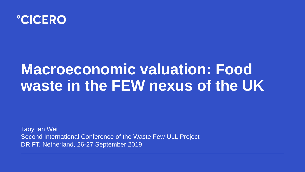

# **Macroeconomic valuation: Food waste in the FEW nexus of the UK**

Taoyuan Wei Second International Conference of the Waste Few ULL Project DRIFT, Netherland, 26-27 September 2019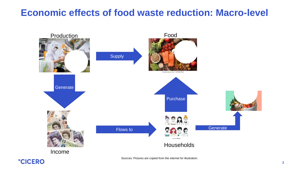## **Economic effects of food waste reduction: Macro-level**

### Production Food



Income



### Households

Generate





Flows to



Sources: Pictures are copied from the internet for illustration.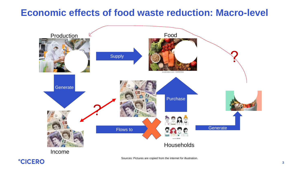## **Economic effects of food waste reduction: Macro-level**



#### Income



Sources: Pictures are copied from the internet for illustration.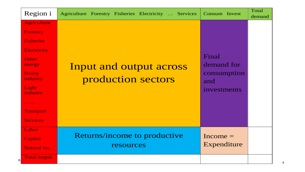| Region i                                                                                                                                                                                                                                                                                                                | Agriculture Forestry Fisheries Electricity  Services | Consum Invest                                            | Total<br>demand |
|-------------------------------------------------------------------------------------------------------------------------------------------------------------------------------------------------------------------------------------------------------------------------------------------------------------------------|------------------------------------------------------|----------------------------------------------------------|-----------------|
| Agriculture<br><b>Forestry</b><br><b>Fisheries</b><br><b>Electricity</b><br><b>Other</b><br>energy<br><b>Heavy</b><br>industry<br>Light<br>industry<br>$\begin{array}{cccccccccccccc} \bullet & \bullet & \bullet & \bullet & \bullet & \bullet & \bullet & \bullet \end{array}$<br><b>Transport</b><br><b>Services</b> | Input and output across<br>production sectors        | Final<br>demand for<br>consumption<br>and<br>investments |                 |
| Labor<br>Capital<br>Natural res.                                                                                                                                                                                                                                                                                        | Returns/income to productive<br>resources            | $Income =$<br>Expenditure                                |                 |
| <b>Total output</b><br>$\bullet$                                                                                                                                                                                                                                                                                        |                                                      |                                                          |                 |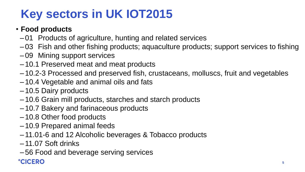### • **Food products**

- –01 Products of agriculture, hunting and related services –03 Fish and other fishing products; aquaculture products; support services to fishing
- 
- –09 Mining support services
- –10.1 Preserved meat and meat products
- 
- –10.2-3 Processed and preserved fish, crustaceans, molluscs, fruit and vegetables –10.4 Vegetable and animal oils and fats
- –10.5 Dairy products
- –10.6 Grain mill products, starches and starch products
- –10.7 Bakery and farinaceous products
- –10.8 Other food products
- –10.9 Prepared animal feeds
- –11.01-6 and 12 Alcoholic beverages & Tobacco products
- –11.07 Soft drinks
- –56 Food and beverage serving services **°CICERO**



# **Key sectors in UK IOT2015**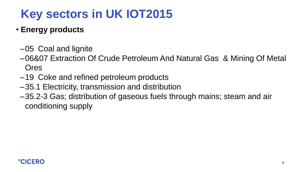### –06&07 Extraction Of Crude Petroleum And Natural Gas & Mining Of Metal

- **Energy products**
	- –05 Coal and lignite
	- Ores
	- –19 Coke and refined petroleum products
	- –35.1 Electricity, transmission and distribution
	- conditioning supply





–35.2-3 Gas; distribution of gaseous fuels through mains; steam and air

# **Key sectors in UK IOT2015**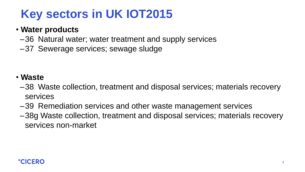### • **Water products**

- 
- –36 Natural water; water treatment and supply services –37 Sewerage services; sewage sludge

- **Waste**
- –38 Waste collection, treatment and disposal services; materials recovery services
- –39 Remediation services and other waste management services –38g Waste collection, treatment and disposal services; materials recovery
- services non-market





# **Key sectors in UK IOT2015**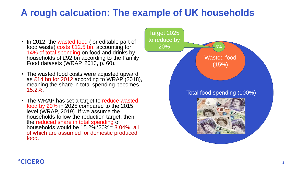- In 2012, the wasted food (or editable part of food waste) costs £12.5 bn, accounting for 14% of total spending on food and drinks by households of £92 bn according to the Family Food datasets (WRAP, 2013, p. 60).
- The wasted food costs were adjusted upward as £14 bn for 2012 according to WRAP (2018), meaning the share in total spending becomes 15.2%.
- The WRAP has set a target to reduce wasted food by 20% in 2025 compared to the 2015 level (WRAP, 2019). If we assume the households follow the reduction target, then the reduced share in total spending of households would be 15.2%\*20%= 3.04%, all of which are assumed for domestic produced food.



Wasted food  $(15%)$ 

# **A rough calcuation: The example of UK households**

#### Total food spending (100%)



3%

Target 2025

to reduce by

20%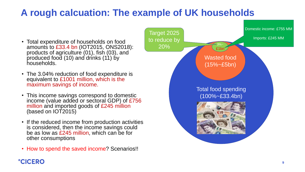

# **A rough calcuation: The example of UK households**

- Total expenditure of households on food amounts to £33.4 bn (IOT2015, ONS2018): products of agriculture (01), fish (03), and produced food (10) and drinks (11) by households.
- The 3.04% reduction of food expenditure is equivalent to £1001 million, which is the maximum savings of income.
- This income savings correspond to domestic income (value added or sectoral GDP) of £756 million and imported goods of £245 million (based on IOT2015)
- If the reduced income from production activities is considered, then the income savings could be as low as £245 million, which can be for other consumptions
- How to spend the saved income? Scenarios!!



Total food spending (100%~£33.4bn)



Wasted food (15%~£5bn)

 $3%$ ~

£1bn

Target 2025 to reduce by 20%

Domestic income: £755 MM

Imports: £245 MM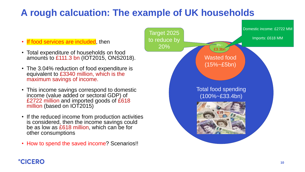

# **A rough calcuation: The example of UK households**

- If food services are included, then
- Total expenditure of households on food amounts to £111.3 bn (IOT2015, ONS2018).
- The 3.04% reduction of food expenditure is equivalent to £3340 million, which is the maximum savings of income.
- This income savings correspond to domestic income (value added or sectoral GDP) of £2722 million and imported goods of £618 million (based on IOT2015)
- If the reduced income from production activities is considered, then the income savings could be as low as £618 million, which can be for other consumptions
- How to spend the saved income? Scenarios!!



Total food spending (100%~£33.4bn)



Wasted food (15%~£5bn)

 $3% -$ 

£3.3bi

Target 2025 to reduce by 20%

Domestic income: £2722 MM

Imports: £618 MM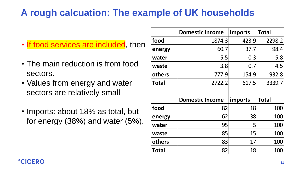- If food services are included, then
- The main reduction is from food sectors.
- Values from energy and water sectors are relatively small
- Imports: about 18% as total, but for energy (38%) and water (5%).



# **A rough calcuation: The example of UK households**

|              | <b>Domestic Income</b> | imports        | <b>Total</b> |
|--------------|------------------------|----------------|--------------|
| food         | 1874.3                 | 423.9          | 2298.2       |
| energy       | 60.7                   | 37.7           | 98.4         |
| water        | 5.5                    | 0.3            | 5.8          |
| waste        | 3.8                    | 0.7            | 4.5          |
| others       | 777.9                  | 154.9          | 932.8        |
| <b>Total</b> | 2722.2                 | 617.5          | 3339.7       |
|              |                        |                |              |
|              | <b>Domestic Income</b> | <b>Imports</b> | Total        |
| food         | 82                     | 18             | 100          |
| energy       | 62                     | 38             | 100          |
| water        | 95                     | 5              | 100          |
| waste        | 85                     | 15             | 100          |
| others       | 83                     | 17             | 100          |
| Total        | 82                     | 18             | 100          |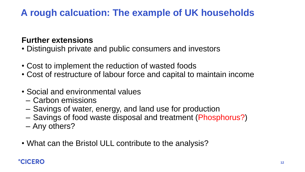### **Further extensions**

- Distinguish private and public consumers and investors
- Cost to implement the reduction of wasted foods • Cost of restructure of labour force and capital to maintain income
- 
- Social and environmental values
	- Carbon emissions
	-
	- Savings of water, energy, and land use for production – Savings of food waste disposal and treatment (Phosphorus?)
	- Any others?
- What can the Bristol ULL contribute to the analysis?



# **A rough calcuation: The example of UK households**